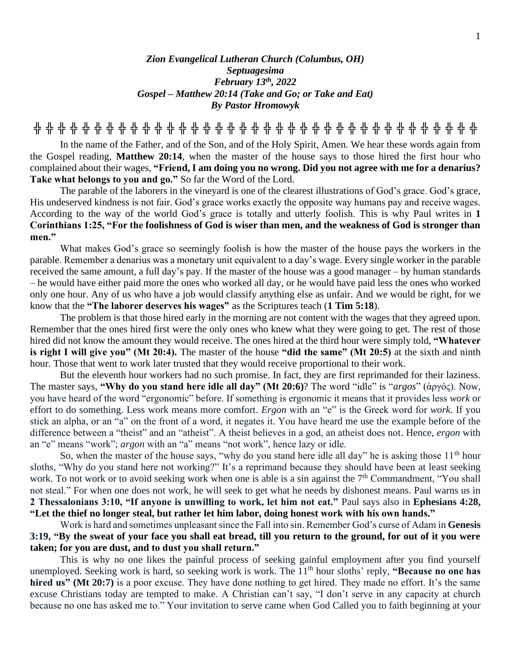## *Zion Evangelical Lutheran Church (Columbus, OH) Septuagesima February 13th , 2022 Gospel – Matthew 20:14 (Take and Go; or Take and Eat) By Pastor Hromowyk*

**╬ ╬ ╬ ╬ ╬ ╬ ╬ ╬ ╬ ╬ ╬ ╬ ╬ ╬ ╬ ╬ ╬ ╬ ╬ ╬ ╬ ╬ ╬ ╬ ╬ ╬ ╬ ╬ ╬ ╬ ╬ ╬ ╬ ╬ ╬ ╬ ╬**

In the name of the Father, and of the Son, and of the Holy Spirit, Amen. We hear these words again from the Gospel reading, **Matthew 20:14**, when the master of the house says to those hired the first hour who complained about their wages, **"Friend, I am doing you no wrong. Did you not agree with me for a denarius? Take what belongs to you and go."** So far the Word of the Lord.

The parable of the laborers in the vineyard is one of the clearest illustrations of God's grace. God's grace, His undeserved kindness is not fair. God's grace works exactly the opposite way humans pay and receive wages. According to the way of the world God's grace is totally and utterly foolish. This is why Paul writes in **1 Corinthians 1:25, "For the foolishness of God is wiser than men, and the weakness of God is stronger than men."**

What makes God's grace so seemingly foolish is how the master of the house pays the workers in the parable. Remember a denarius was a monetary unit equivalent to a day's wage. Every single worker in the parable received the same amount, a full day's pay. If the master of the house was a good manager – by human standards – he would have either paid more the ones who worked all day, or he would have paid less the ones who worked only one hour. Any of us who have a job would classify anything else as unfair. And we would be right, for we know that the **"The laborer deserves his wages"** as the Scriptures teach (**1 Tim 5:18**).

The problem is that those hired early in the morning are not content with the wages that they agreed upon. Remember that the ones hired first were the only ones who knew what they were going to get. The rest of those hired did not know the amount they would receive. The ones hired at the third hour were simply told, **"Whatever is right I will give you" (Mt 20:4).** The master of the house **"did the same" (Mt 20:5)** at the sixth and ninth hour. Those that went to work later trusted that they would receive proportional to their work.

But the eleventh hour workers had no such promise. In fact, they are first reprimanded for their laziness. The master says, **"Why do you stand here idle all day" (Mt 20:6)**? The word "idle" is "*argos*" (ἀργός). Now, you have heard of the word "ergonomic" before. If something is ergonomic it means that it provides less *work* or effort to do something. Less work means more comfort. *Ergon* with an "e" is the Greek word for *work*. If you stick an alpha, or an "a" on the front of a word, it negates it. You have heard me use the example before of the difference between a "theist" and an "atheist". A theist believes in a god, an atheist does not. Hence, *ergon* with an "e" means "work"; *argon* with an "a" means "not work", hence lazy or idle.

So, when the master of the house says, "why do you stand here idle all day" he is asking those  $11<sup>th</sup>$  hour sloths, "Why do you stand here not working?" It's a reprimand because they should have been at least seeking work. To not work or to avoid seeking work when one is able is a sin against the  $7<sup>th</sup>$  Commandment, "You shall not steal." For when one does not work, he will seek to get what he needs by dishonest means. Paul warns us in **2 Thessalonians 3:10, "If anyone is unwilling to work, let him not eat."** Paul says also in **Ephesians 4:28, "Let the thief no longer steal, but rather let him labor, doing honest work with his own hands."**

Work is hard and sometimes unpleasant since the Fall into sin. Remember God's curse of Adam in **Genesis 3:19, "By the sweat of your face you shall eat bread, till you return to the ground, for out of it you were taken; for you are dust, and to dust you shall return."** 

This is why no one likes the painful process of seeking gainful employment after you find yourself unemployed. Seeking work is hard, so seeking work is work. The 11<sup>th</sup> hour sloths' reply, "Because no one has **hired us" (Mt 20:7)** is a poor excuse. They have done nothing to get hired. They made no effort. It's the same excuse Christians today are tempted to make. A Christian can't say, "I don't serve in any capacity at church because no one has asked me to." Your invitation to serve came when God Called you to faith beginning at your